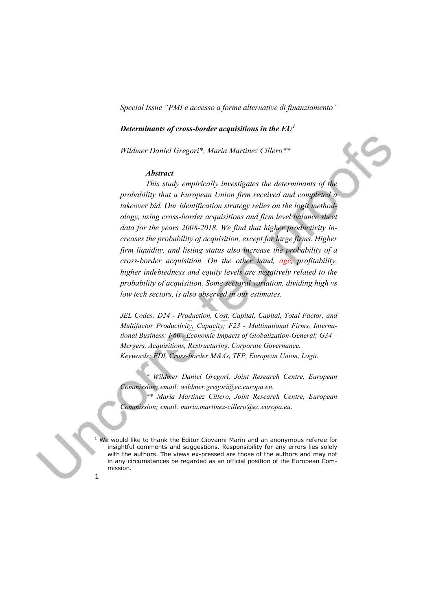# *Determinants of cross-border acquisitions in the EU[1](#page-0-0)*

*Wildmer Daniel Gregori\*, Maria Martinez Cillero\*\** 

### *Abstract*

*This study empirically investigates the determinants of the probability that a European Union firm received and completed a takeover bid. Our identification strategy relies on the logit methodology, using cross-border acquisitions and firm level balance sheet data for the years 2008-2018. We find that higher productivity increases the probability of acquisition, except for large firms. Higher firm liquidity, and listing status also increase the probability of a cross-border acquisition. On the other hand, age, profitability, higher indebtedness and equity levels are negatively related to the probability of acquisition. Some sectoral variation, dividing high vs low tech sectors, is also observed in our estimates.*

*JEL Codes: D24 - Production, Cost, Capital, Capital, Total Factor, and Multifactor Productivity, Capacity; F23 - Multinational Firms, International Business; F60 - Economic Impacts of Globalization-General; G34 – Mergers, Acquisitions, Restructuring, Corporate Governance. Keywords: FDI, Cross-border M&As, TFP, European Union, Logit.*

*\* Wildmer Daniel Gregori, Joint Research Centre, European Commission; email: wildmer.gregori@ec.europa.eu.* 

*\*\* Maria Martinez Cillero, Joint Research Centre, European Commission; email: maria.martinez-cillero@ec.europa.eu.*

<span id="page-0-0"></span>We would like to thank the Editor Giovanni Marin and an anonymous referee for insightful comments and suggestions. Responsibility for any errors lies solely with the authors. The views ex-pressed are those of the authors and may not in any circumstances be regarded as an official position of the European Commission.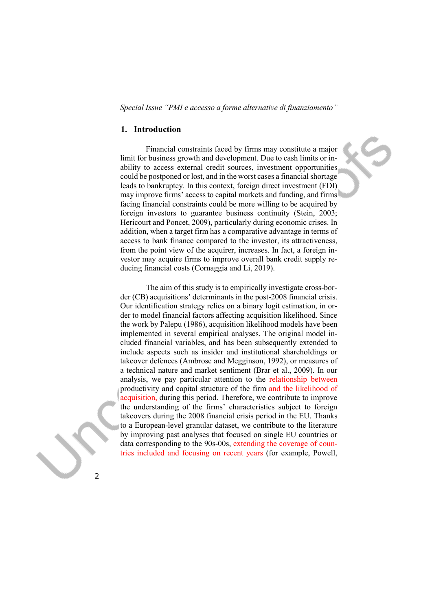#### **1. Introduction**

Financial constraints faced by firms may constitute a major limit for business growth and development. Due to cash limits or inability to access external credit sources, investment opportunities could be postponed or lost, and in the worst cases a financial shortage leads to bankruptcy. In this context, foreign direct investment (FDI) may improve firms' access to capital markets and funding, and firms facing financial constraints could be more willing to be acquired by foreign investors to guarantee business continuity (Stein, 2003; Hericourt and Poncet, 2009), particularly during economic crises. In addition, when a target firm has a comparative advantage in terms of access to bank finance compared to the investor, its attractiveness, from the point view of the acquirer, increases. In fact, a foreign investor may acquire firms to improve overall bank credit supply reducing financial costs (Cornaggia and Li, 2019).

The aim of this study is to empirically investigate cross-border (CB) acquisitions' determinants in the post-2008 financial crisis. Our identification strategy relies on a binary logit estimation, in order to model financial factors affecting acquisition likelihood. Since the work by Palepu (1986), acquisition likelihood models have been implemented in several empirical analyses. The original model included financial variables, and has been subsequently extended to include aspects such as insider and institutional shareholdings or takeover defences (Ambrose and Megginson, 1992), or measures of a technical nature and market sentiment (Brar et al., 2009). In our analysis, we pay particular attention to the relationship between productivity and capital structure of the firm and the likelihood of acquisition, during this period. Therefore, we contribute to improve the understanding of the firms' characteristics subject to foreign takeovers during the 2008 financial crisis period in the EU. Thanks to a European-level granular dataset, we contribute to the literature by improving past analyses that focused on single EU countries or data corresponding to the 90s-00s, extending the coverage of countries included and focusing on recent years (for example, Powell,

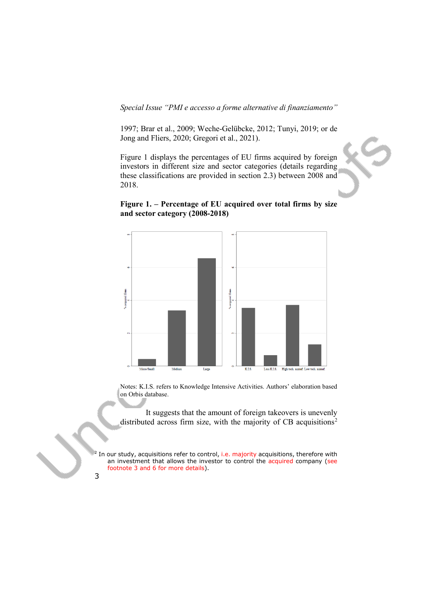1997; Brar et al., 2009; Weche-Gelübcke, 2012; Tunyi, 2019; or de Jong and Fliers, 2020; Gregori et al., 2021).

Figure 1 displays the percentages of EU firms acquired by foreign investors in different size and sector categories (details regarding these classifications are provided in section 2.3) between 2008 and 2018.



## **Figure 1. – Percentage of EU acquired over total firms by size and sector category (2008-2018)**

Notes: K.I.S. refers to Knowledge Intensive Activities. Authors' elaboration based on Orbis database.

It suggests that the amount of foreign takeovers is unevenly distributed across firm size, with the majority of CB acquisitions<sup>[2](#page-2-0)</sup>

<span id="page-2-0"></span>In our study, acquisitions refer to control, i.e. majority acquisitions, therefore with an investment that allows the investor to control the acquired company (see footnote 3 and 6 for more details).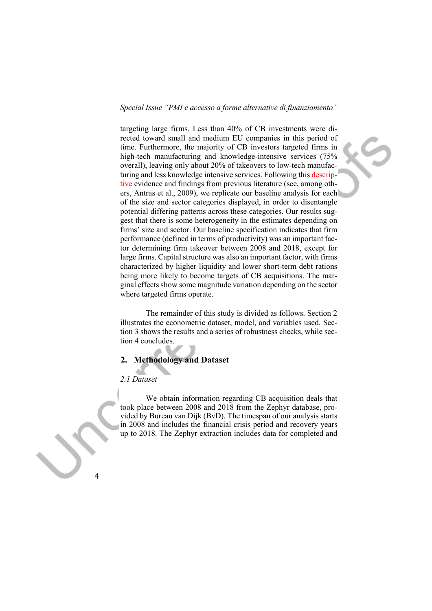targeting large firms. Less than 40% of CB investments were directed toward small and medium EU companies in this period of time. Furthermore, the majority of CB investors targeted firms in high-tech manufacturing and knowledge-intensive services (75%) overall), leaving only about 20% of takeovers to low-tech manufacturing and less knowledge intensive services. Following this descriptive evidence and findings from previous literature (see, among others, Antras et al., 2009), we replicate our baseline analysis for each of the size and sector categories displayed, in order to disentangle potential differing patterns across these categories. Our results suggest that there is some heterogeneity in the estimates depending on firms' size and sector. Our baseline specification indicates that firm performance (defined in terms of productivity) was an important factor determining firm takeover between 2008 and 2018, except for large firms. Capital structure was also an important factor, with firms characterized by higher liquidity and lower short-term debt rations being more likely to become targets of CB acquisitions. The marginal effects show some magnitude variation depending on the sector where targeted firms operate.

The remainder of this study is divided as follows. Section 2 illustrates the econometric dataset, model, and variables used. Section 3 shows the results and a series of robustness checks, while section 4 concludes.

# **2. Methodology and Dataset**

#### *2.1 Dataset*

We obtain information regarding CB acquisition deals that took place between 2008 and 2018 from the Zephyr database, provided by Bureau van Dijk (BvD). The timespan of our analysis starts in 2008 and includes the financial crisis period and recovery years up to 2018. The Zephyr extraction includes data for completed and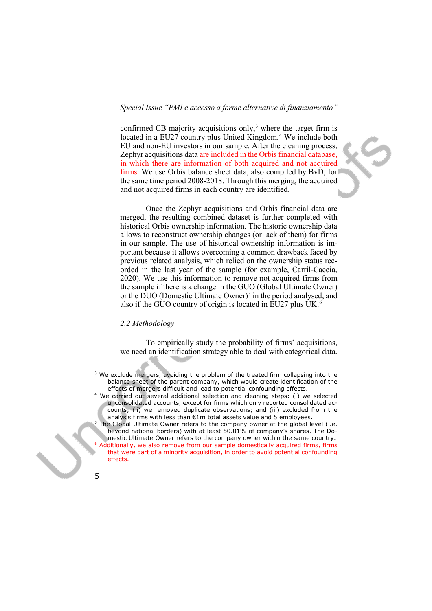confirmed CB majority acquisitions only, $3$  where the target firm is located in a EU27 country plus United Kingdom.<sup>[4](#page-4-1)</sup> We include both EU and non-EU investors in our sample. After the cleaning process, Zephyr acquisitions data are included in the Orbis financial database, in which there are information of both acquired and not acquired firms. We use Orbis balance sheet data, also compiled by BvD, for the same time period 2008-2018. Through this merging, the acquired and not acquired firms in each country are identified.

Once the Zephyr acquisitions and Orbis financial data are merged, the resulting combined dataset is further completed with historical Orbis ownership information. The historic ownership data allows to reconstruct ownership changes (or lack of them) for firms in our sample. The use of historical ownership information is important because it allows overcoming a common drawback faced by previous related analysis, which relied on the ownership status recorded in the last year of the sample (for example, Carril-Caccia, 2020). We use this information to remove not acquired firms from the sample if there is a change in the GUO (Global Ultimate Owner) or the DUO (Domestic Ultimate Owner)<sup>[5](#page-4-2)</sup> in the period analysed, and also if the GUO country of origin is located in EU27 plus UK. [6](#page-4-3)

#### *2.2 Methodology*

To empirically study the probability of firms' acquisitions, we need an identification strategy able to deal with categorical data.

- <span id="page-4-0"></span><sup>3</sup> We exclude mergers, avoiding the problem of the treated firm collapsing into the balance sheet of the parent company, which would create identification of the effects of mergers difficult and lead to potential confounding effects.
- <span id="page-4-1"></span>We carried out several additional selection and cleaning steps: (i) we selected unconsolidated accounts, except for firms which only reported consolidated accounts; (ii) we removed duplicate observations; and (iii) excluded from the analysis firms with less than €1m total assets value and 5 employees.
- <span id="page-4-3"></span><span id="page-4-2"></span>The Global Ultimate Owner refers to the company owner at the global level (i.e. beyond national borders) with at least 50.01% of company's shares. The Domestic Ultimate Owner refers to the company owner within the same country.  $6$  Additionally, we also remove from our sample domestically acquired firms, firms that were part of a minority acquisition, in order to avoid potential confounding effects.

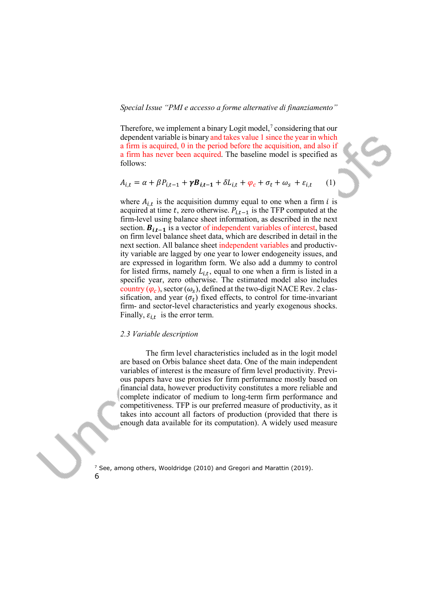Therefore, we implement a binary Logit model, $\alpha$ <sup>7</sup> considering that our dependent variable is binary and takes value 1 since the year in which a firm is acquired, 0 in the period before the acquisition, and also if a firm has never been acquired. The baseline model is specified as follows:

$$
A_{i,t} = \alpha + \beta P_{i,t-1} + \gamma B_{i,t-1} + \delta L_{i,t} + \varphi_c + \sigma_t + \omega_s + \varepsilon_{i,t} \tag{1}
$$

where  $A_{i,t}$  is the acquisition dummy equal to one when a firm *i* is acquired at time t, zero otherwise.  $P_{i,t-1}$  is the TFP computed at the firm-level using balance sheet information, as described in the next section.  $B_{i,t-1}$  is a vector of independent variables of interest, based on firm level balance sheet data, which are described in detail in the next section. All balance sheet independent variables and productivity variable are lagged by one year to lower endogeneity issues, and are expressed in logarithm form. We also add a dummy to control for listed firms, namely  $L_{i,t}$ , equal to one when a firm is listed in a specific year, zero otherwise. The estimated model also includes country  $(\varphi_c)$ , sector  $(\omega_s)$ , defined at the two-digit NACE Rev. 2 classification, and year  $(\sigma_t)$  fixed effects, to control for time-invariant firm- and sector-level characteristics and yearly exogenous shocks. Finally,  $\varepsilon_{i,t}$  is the error term.

#### *2.3 Variable description*

The firm level characteristics included as in the logit model are based on Orbis balance sheet data. One of the main independent variables of interest is the measure of firm level productivity. Previous papers have use proxies for firm performance mostly based on financial data, however productivity constitutes a more reliable and complete indicator of medium to long-term firm performance and competitiveness. TFP is our preferred measure of productivity, as it takes into account all factors of production (provided that there is enough data available for its computation). A widely used measure

<span id="page-5-0"></span>6  $7$  See, among others, Wooldridge (2010) and Gregori and Marattin (2019).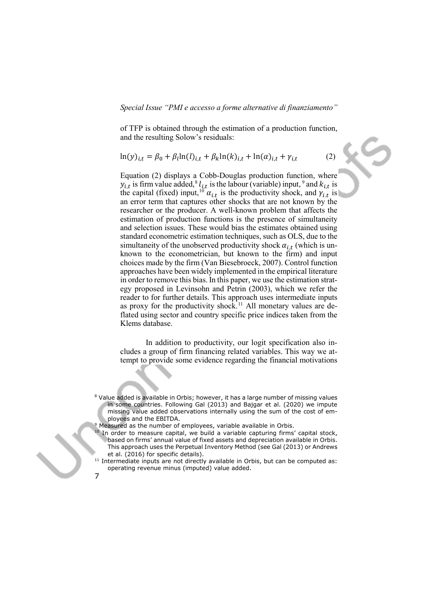of TFP is obtained through the estimation of a production function, and the resulting Solow's residuals:

$$
\ln(y)_{i,t} = \beta_0 + \beta_l \ln(l)_{i,t} + \beta_k \ln(k)_{i,t} + \ln(\alpha)_{i,t} + \gamma_{i,t}
$$
 (2)

Equation (2) displays a Cobb-Douglas production function, where  $y_{i,t}$  is firm value added,<sup>[8](#page-6-0)</sup>  $l_{i,t}$  is the labour (variable) input, <sup>[9](#page-6-1)</sup> and  $k_{i,t}$  is the capital (fixed) input,<sup>[10](#page-6-2)</sup>  $\alpha_{i,t}$  is the productivity shock, and  $\gamma_{i,t}$  is an error term that captures other shocks that are not known by the researcher or the producer. A well-known problem that affects the estimation of production functions is the presence of simultaneity and selection issues. These would bias the estimates obtained using standard econometric estimation techniques, such as OLS, due to the simultaneity of the unobserved productivity shock  $\alpha_{i,t}$  (which is unknown to the econometrician, but known to the firm) and input choices made by the firm (Van Biesebroeck, 2007). Control function approaches have been widely implemented in the empirical literature in order to remove this bias. In this paper, we use the estimation strategy proposed in Levinsohn and Petrin (2003), which we refer the reader to for further details. This approach uses intermediate inputs as proxy for the productivity shock.<sup>[11](#page-6-3)</sup> All monetary values are deflated using sector and country specific price indices taken from the Klems database.

In addition to productivity, our logit specification also includes a group of firm financing related variables. This way we attempt to provide some evidence regarding the financial motivations

- <sup>10</sup> In order to measure capital, we build a variable capturing firms' capital stock, based on firms' annual value of fixed assets and depreciation available in Orbis. This approach uses the Perpetual Inventory Method (see Gal (2013) or Andrews et al. (2016) for specific details).
- <span id="page-6-3"></span> $11$  Intermediate inputs are not directly available in Orbis, but can be computed as: operating revenue minus (imputed) value added.

<span id="page-6-0"></span>Value added is available in Orbis; however, it has a large number of missing values in some countries. Following Gal (2013) and Bajgar et al. (2020) we impute missing value added observations internally using the sum of the cost of employees and the EBITDA.

<span id="page-6-2"></span><span id="page-6-1"></span><sup>&</sup>lt;sup>9</sup> Measured as the number of employees, variable available in Orbis.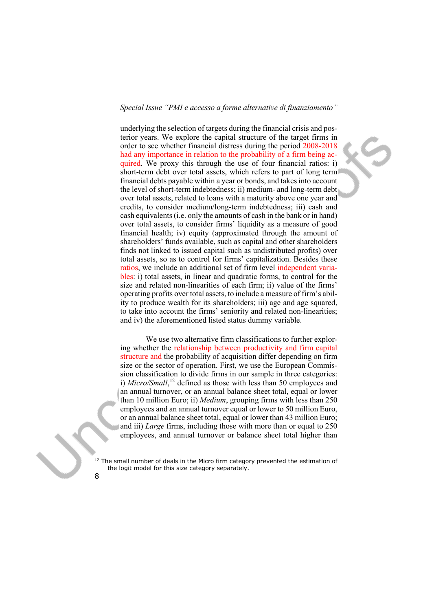underlying the selection of targets during the financial crisis and posterior years. We explore the capital structure of the target firms in order to see whether financial distress during the period 2008-2018 had any importance in relation to the probability of a firm being acquired. We proxy this through the use of four financial ratios: i) short-term debt over total assets, which refers to part of long term financial debts payable within a year or bonds, and takes into account the level of short-term indebtedness; ii) medium- and long-term debt over total assets, related to loans with a maturity above one year and credits, to consider medium/long-term indebtedness; iii) cash and cash equivalents (i.e. only the amounts of cash in the bank or in hand) over total assets, to consider firms' liquidity as a measure of good financial health; iv) equity (approximated through the amount of shareholders' funds available, such as capital and other shareholders finds not linked to issued capital such as undistributed profits) over total assets, so as to control for firms' capitalization. Besides these ratios, we include an additional set of firm level independent variables: i) total assets, in linear and quadratic forms, to control for the size and related non-linearities of each firm; ii) value of the firms' operating profits over total assets, to include a measure of firm's ability to produce wealth for its shareholders; iii) age and age squared, to take into account the firms' seniority and related non-linearities; and iv) the aforementioned listed status dummy variable.

We use two alternative firm classifications to further exploring whether the relationship between productivity and firm capital structure and the probability of acquisition differ depending on firm size or the sector of operation. First, we use the European Commission classification to divide firms in our sample in three categories: i) *Micro/Small*,<sup>[12](#page-7-0)</sup> defined as those with less than 50 employees and an annual turnover, or an annual balance sheet total, equal or lower than 10 million Euro; ii) *Medium*, grouping firms with less than 250 employees and an annual turnover equal or lower to 50 million Euro, or an annual balance sheet total, equal or lower than 43 million Euro; and iii) *Large* firms, including those with more than or equal to 250 employees, and annual turnover or balance sheet total higher than

<span id="page-7-0"></span>The small number of deals in the Micro firm category prevented the estimation of the logit model for this size category separately.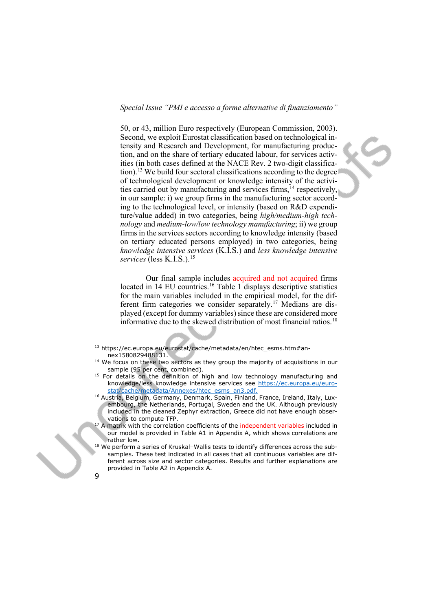50, or 43, million Euro respectively (European Commission, 2003). Second, we exploit Eurostat classification based on technological intensity and Research and Development, for manufacturing production, and on the share of tertiary educated labour, for services activities (in both cases defined at the NACE Rev. 2 two-digit classifica-tion).<sup>[13](#page-8-0)</sup> We build four sectoral classifications according to the degree of technological development or knowledge intensity of the activities carried out by manufacturing and services firms, [14](#page-8-1) respectively, in our sample: i) we group firms in the manufacturing sector according to the technological level, or intensity (based on R&D expenditure/value added) in two categories, being *high/medium-high technology* and *medium-low/low technology manufacturing*; ii) we group firms in the services sectors according to knowledge intensity (based on tertiary educated persons employed) in two categories, being *knowledge intensive services* (K.I.S.) and *less knowledge intensive services* (less K.I.S.).[15](#page-8-2)

Our final sample includes acquired and not acquired firms located in 14 EU countries.<sup>[16](#page-8-3)</sup> Table 1 displays descriptive statistics for the main variables included in the empirical model, for the different firm categories we consider separately.[17](#page-8-4) Medians are displayed (except for dummy variables) since these are considered more informative due to the skewed distribution of most financial ratios. [18](#page-8-5)

<span id="page-8-0"></span>13 https://ec.europa.eu/eurostat/cache/metadata/en/htec\_esms.htm#annex1580829488131.

- <span id="page-8-1"></span> $14$  We focus on these two sectors as they group the majority of acquisitions in our sample (95 per cent, combined).
- <span id="page-8-2"></span><sup>15</sup> For details on the definition of high and low technology manufacturing and knowledge/less knowledge intensive services see [https://ec.europa.eu/euro](https://ec.europa.eu/eurostat/cache/metadata/Annexes/htec_esms_an3.pdf)[stat/cache/metadata/Annexes/htec\\_esms\\_an3.pdf.](https://ec.europa.eu/eurostat/cache/metadata/Annexes/htec_esms_an3.pdf)
- <span id="page-8-3"></span><sup>16</sup> Austria, Belgium, Germany, Denmark, Spain, Finland, France, Ireland, Italy, Luxembourg, the Netherlands, Portugal, Sweden and the UK. Although previously included in the cleaned Zephyr extraction, Greece did not have enough observations to compute TFP.
- <span id="page-8-4"></span><sup>17</sup> A matrix with the correlation coefficients of the independent variables included in our model is provided in Table A1 in Appendix A, which shows correlations are rather low.
- <span id="page-8-5"></span> $18$  We perform a series of Kruskal-Wallis tests to identify differences across the subsamples. These test indicated in all cases that all continuous variables are different across size and sector categories. Results and further explanations are provided in Table A2 in Appendix A.

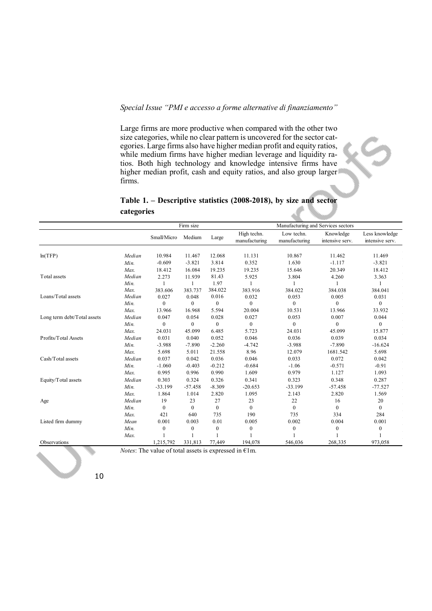Large firms are more productive when compared with the other two size categories, while no clear pattern is uncovered for the sector categories. Large firms also have higher median profit and equity ratios, while medium firms have higher median leverage and liquidity ratios. Both high technology and knowledge intensive firms have higher median profit, cash and equity ratios, and also group larger firms.

# **Table 1. – Descriptive statistics (2008-2018), by size and sector categories**

|                             |        | Firm size        |                  |              | Manufacturing and Services sectors |                             |                              |                                   |  |
|-----------------------------|--------|------------------|------------------|--------------|------------------------------------|-----------------------------|------------------------------|-----------------------------------|--|
|                             |        | Small/Micro      | Medium           | Large        | High techn.<br>manufacturing       | Low techn.<br>manufacturing | Knowledge<br>intensive serv. | Less knowledge<br>intensive serv. |  |
|                             |        |                  |                  |              |                                    |                             |                              |                                   |  |
| ln(TFP)                     | Median | 10.984           | 11.467           | 12.068       | 11.131                             | 10.867                      | 11.462                       | 11.469                            |  |
|                             | Min.   | $-0.609$         | $-3.821$         | 3.814        | 0.352                              | 1.630                       | $-1.117$                     | $-3.821$                          |  |
|                             | Max.   | 18.412           | 16.084           | 19.235       | 19.235                             | 15.646                      | 20.349                       | 18.412                            |  |
| Total assets                | Median | 2.273            | 11.939           | 81.43        | 5.925                              | 3.804                       | 4.260                        | 3.363                             |  |
|                             | Min.   | 1                | $\mathbf{1}$     | 1.97         |                                    |                             |                              |                                   |  |
|                             | Max.   | 383.606          | 383.737          | 384.022      | 383.916                            | 384.022                     | 384.038                      | 384.041                           |  |
| Loans/Total assets          | Median | 0.027            | 0.048            | 0.016        | 0.032                              | 0.053                       | 0.005                        | 0.031                             |  |
|                             | Min.   | $\mathbf{0}$     | $\mathbf{0}$     | $\mathbf{0}$ | $\mathbf{0}$                       | $\mathbf{0}$                | $\theta$                     | $\mathbf{0}$                      |  |
|                             | Max.   | 13.966           | 16.968           | 5.594        | 20.004                             | 10.531                      | 13.966                       | 33.932                            |  |
| Long term debt/Total assets | Median | 0.047            | 0.054            | 0.028        | 0.027                              | 0.053                       | 0.007                        | 0.044                             |  |
|                             | Min.   | $\boldsymbol{0}$ | $\boldsymbol{0}$ | $\mathbf{0}$ | $\boldsymbol{0}$                   | $\mathbf{0}$                | $\mathbf{0}$                 | $\mathbf{0}$                      |  |
|                             | Max.   | 24.031           | 45.099           | 6.485        | 5.723                              | 24.031                      | 45.099                       | 15.877                            |  |
| Profits/Total Assets        | Median | 0.031            | 0.040            | 0.052        | 0.046                              | 0.036                       | 0.039                        | 0.034                             |  |
|                             | Min.   | $-3.988$         | $-7.890$         | $-2.260$     | $-4.742$                           | $-3.988$                    | $-7.890$                     | $-16.624$                         |  |
|                             | Max.   | 5.698            | 5.011            | 21.558       | 8.96                               | 12.079                      | 1681.542                     | 5.698                             |  |
| Cash/Total assets           | Median | 0.037            | 0.042            | 0.036        | 0.046                              | 0.033                       | 0.072                        | 0.042                             |  |
|                             | Min.   | $-1.060$         | $-0.403$         | $-0.212$     | $-0.684$                           | $-1.06$                     | $-0.571$                     | $-0.91$                           |  |
|                             | Max.   | 0.995            | 0.996            | 0.990        | 1.609                              | 0.979                       | 1.127                        | 1.093                             |  |
| Equity/Total assets         | Median | 0.303            | 0.324            | 0.326        | 0.341                              | 0.323                       | 0.348                        | 0.287                             |  |
|                             | Min.   | $-33.199$        | $-57.458$        | $-8.309$     | $-20.653$                          | $-33.199$                   | $-57.458$                    | $-77.527$                         |  |
|                             | Max.   | 1.864            | 1.014            | 2.820        | 1.095                              | 2.143                       | 2.820                        | 1.569                             |  |
| Age                         | Median | 19               | 23               | 27           | 23                                 | 22                          | 16                           | 20                                |  |
|                             | Min.   | $\Omega$         | $\theta$         | $\Omega$     | $\theta$                           | $\Omega$                    | $\theta$                     | $\Omega$                          |  |
|                             | Max.   | 421              | 640              | 735          | 190                                | 735                         | 334                          | 284                               |  |
| Listed firm dummy           | Mean   | 0.001            | 0.003            | 0.01         | 0.005                              | 0.002                       | 0.004                        | 0.001                             |  |
|                             | Min.   | $\mathbf{0}$     | $\boldsymbol{0}$ | $\mathbf{0}$ | $\mathbf{0}$                       | $\mathbf{0}$                | $\mathbf{0}$                 | $\mathbf{0}$                      |  |
|                             | Max.   |                  |                  |              |                                    |                             |                              |                                   |  |
| Observations                |        | 1,215,792        | 331,813          | 77,449       | 194,078                            | 546,036                     | 268,335                      | 973,058                           |  |

*Notes*: The value of total assets is expressed in  $E1m$ .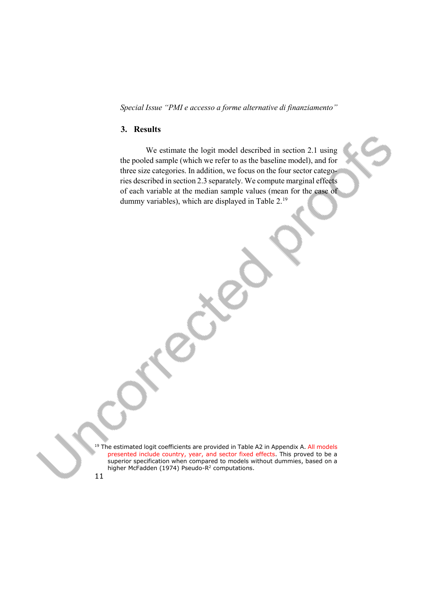# **3. Results**

We estimate the logit model described in section 2.1 using the pooled sample (which we refer to as the baseline model), and for three size categories. In addition, we focus on the four sector categories described in section 2.3 separately. We compute marginal effects of each variable at the median sample values (mean for the case of dummy variables), which are displayed in Table 2.[19](#page-10-0)

<span id="page-10-0"></span> $19$  The estimated logit coefficients are provided in Table A2 in Appendix A. All models presented include country, year, and sector fixed effects. This proved to be a superior specification when compared to models without dummies, based on a higher McFadden (1974) Pseudo-R<sup>2</sup> computations.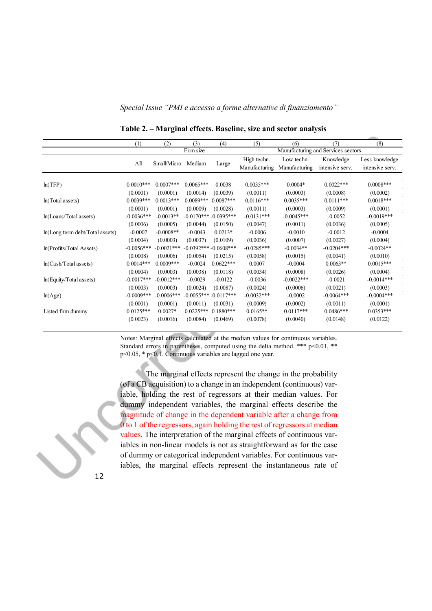*Special Issue "PMI e accesso a forme alternative di finanziamento"* 

| (1)         | (2)                            | (3)                                                                                      | (4)                                              | (5)                                                                                                                                                    | (6)                     | (7)                                    | (8)                     |
|-------------|--------------------------------|------------------------------------------------------------------------------------------|--------------------------------------------------|--------------------------------------------------------------------------------------------------------------------------------------------------------|-------------------------|----------------------------------------|-------------------------|
| Firm size   |                                |                                                                                          | Manufacturing and Services sectors               |                                                                                                                                                        |                         |                                        |                         |
|             |                                |                                                                                          |                                                  | High techn.                                                                                                                                            | Low techn.              | Knowledge                              | Less knowledge          |
|             |                                |                                                                                          |                                                  |                                                                                                                                                        | Manufacturing           | intensive serv.                        | intensive serv.         |
|             |                                |                                                                                          |                                                  |                                                                                                                                                        |                         |                                        |                         |
|             |                                |                                                                                          |                                                  |                                                                                                                                                        |                         |                                        | $0.0008***$             |
|             |                                |                                                                                          |                                                  |                                                                                                                                                        |                         |                                        | (0.0002)                |
| $0.0039***$ | $0.0013***$                    |                                                                                          |                                                  | $0.0116***$                                                                                                                                            | $0.0035***$             | $0.0111***$                            | $0.0018***$             |
| (0.0001)    | (0.0001)                       | (0.0009)                                                                                 | (0.0028)                                         | (0.0011)                                                                                                                                               | (0.0003)                | (0.0009)                               | (0.0001)                |
|             | $-0.0013**$                    |                                                                                          |                                                  | $-0.0131***$                                                                                                                                           | $-0.0045***$            | $-0.0052$                              | $-0.0019***$            |
| (0.0006)    | (0.0005)                       | (0.0044)                                                                                 | (0.0150)                                         | (0.0047)                                                                                                                                               | (0.0011)                | (0.0036)                               | (0.0005)                |
| $-0.0007$   | $-0.0008**$                    | $-0.0043$                                                                                | $0.0213*$                                        | $-0.0006$                                                                                                                                              | $-0.0010$               | $-0.0012$                              | $-0.0004$               |
| (0.0004)    | (0.0003)                       | (0.0037)                                                                                 | (0.0109)                                         | (0.0036)                                                                                                                                               | (0.0007)                | (0.0027)                               | (0.0004)                |
|             | $-0.0021***$                   |                                                                                          |                                                  | $-0.0285***$                                                                                                                                           | $-0.0034**$             | $-0.0204***$                           | $-0.0024**$             |
| (0.0008)    | (0.0006)                       | (0.0054)                                                                                 | (0.0215)                                         | (0.0058)                                                                                                                                               | (0.0015)                | (0.0041)                               | (0.0010)                |
| $0.0014***$ | $0.0009***$                    | $-0.0024$                                                                                | $0.0622***$                                      | 0.0007                                                                                                                                                 | $-0.0004$               | $0.0063**$                             | $0.0015***$             |
| (0.0004)    | (0.0003)                       | (0.0038)                                                                                 | (0.0118)                                         | (0.0034)                                                                                                                                               | (0.0008)                | (0.0026)                               | (0.0004)                |
|             | $-0.0012***$                   | $-0.0029$                                                                                | $-0.0122$                                        | $-0.0036$                                                                                                                                              | $-0.0022***$            | $-0.0021$                              | $-0.0014***$            |
| (0.0003)    | (0.0003)                       | (0.0024)                                                                                 | (0.0087)                                         | (0.0024)                                                                                                                                               | (0.0006)                | (0.0021)                               | (0.0003)                |
|             | $-0.0006***$                   |                                                                                          |                                                  | $-0.0032***$                                                                                                                                           | $-0.0002$               | $-0.0064***$                           | $-0.0004***$            |
| (0.0001)    | (0.0001)                       | (0.0011)                                                                                 | (0.0031)                                         | (0.0009)                                                                                                                                               | (0.0002)                | (0.0011)                               | (0.0001)                |
| $0.0125***$ | $0.0027*$                      |                                                                                          | $0.1880***$                                      | $0.0165**$                                                                                                                                             | $0.0117***$             | $0.0486***$                            | $0.0353***$             |
| (0.0023)    | (0.0016)                       | (0.0084)                                                                                 | (0.0469)                                         | (0.0078)                                                                                                                                               | (0.0040)                | (0.0148)                               | (0.0122)                |
|             | All<br>$0.0010***$<br>(0.0001) | $0.0007***$<br>(0.0001)<br>$-0.0036***$<br>$-0.0056***$<br>$-0.0017***$<br>$-0.0009$ *** | Small/Micro<br>Medium<br>$0.0065***$<br>(0.0014) | Large<br>0.0038<br>(0.0039)<br>$0.0089***$<br>$0.0087***$<br>$-0.0170***-0.0395***$<br>$-0.0392***-0.0608***$<br>$-0.0055***-0.0117***$<br>$0.0225***$ | $0.0035***$<br>(0.0011) | Manufacturing<br>$0.0004*$<br>(0.0003) | $0.0022***$<br>(0.0008) |

**Table 2. – Marginal effects. Baseline, size and sector analysis**

Notes: Marginal effects calculated at the median values for continuous variables. Standard errors in parentheses, computed using the delta method. \*\*\*  $p<0.01$ , \*\* p<0.05, \* p<0.1. Continuous variables are lagged one year.

The marginal effects represent the change in the probability (of a CB acquisition) to a change in an independent (continuous) variable, holding the rest of regressors at their median values. For dummy independent variables, the marginal effects describe the magnitude of change in the dependent variable after a change from 0 to 1 of the regressors, again holding the rest of regressors at median values. The interpretation of the marginal effects of continuous variables in non-linear models is not as straightforward as for the case of dummy or categorical independent variables. For continuous variables, the marginal effects represent the instantaneous rate of

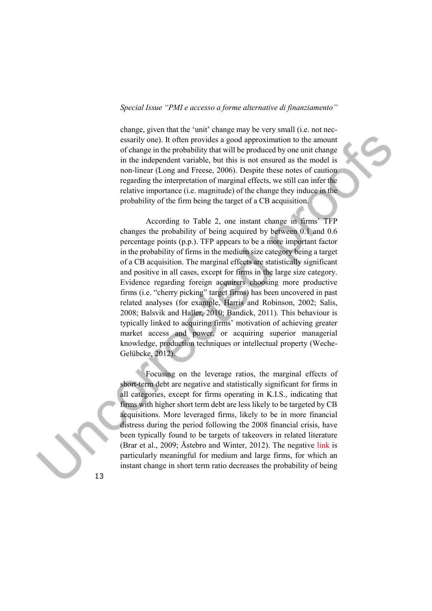change, given that the 'unit' change may be very small (i.e. not necessarily one). It often provides a good approximation to the amount of change in the probability that will be produced by one unit change in the independent variable, but this is not ensured as the model is non-linear (Long and Freese, 2006). Despite these notes of caution regarding the interpretation of marginal effects, we still can infer the relative importance (i.e. magnitude) of the change they induce in the probability of the firm being the target of a CB acquisition.

According to Table 2, one instant change in firms' TFP changes the probability of being acquired by between 0.1 and 0.6 percentage points (p.p.). TFP appears to be a more important factor in the probability of firms in the medium size category being a target of a CB acquisition. The marginal effects are statistically significant and positive in all cases, except for firms in the large size category. Evidence regarding foreign acquirers choosing more productive firms (i.e. "cherry picking" target firms) has been uncovered in past related analyses (for example, Harris and Robinson, 2002; Salis, 2008; Balsvik and Haller, 2010; Bandick, 2011). This behaviour is typically linked to acquiring firms' motivation of achieving greater market access and power, or acquiring superior managerial knowledge, production techniques or intellectual property (Weche-Gelübcke, 2012).

Focusing on the leverage ratios, the marginal effects of short-term debt are negative and statistically significant for firms in all categories, except for firms operating in K.I.S., indicating that firms with higher short term debt are less likely to be targeted by CB acquisitions. More leveraged firms, likely to be in more financial distress during the period following the 2008 financial crisis, have been typically found to be targets of takeovers in related literature (Brar et al., 2009; Åstebro and Winter, 2012). The negative link is particularly meaningful for medium and large firms, for which an instant change in short term ratio decreases the probability of being

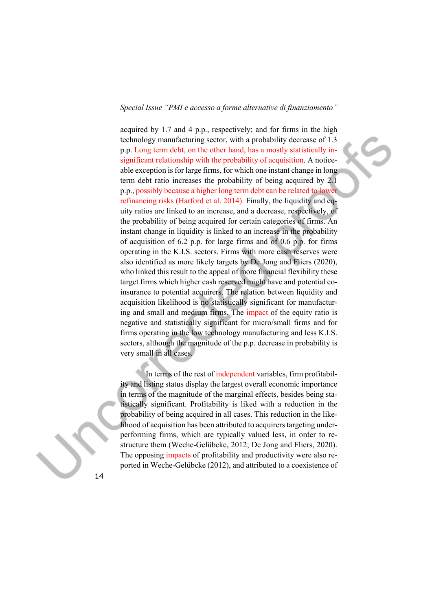acquired by 1.7 and 4 p.p., respectively; and for firms in the high technology manufacturing sector, with a probability decrease of 1.3 p.p. Long term debt, on the other hand, has a mostly statistically insignificant relationship with the probability of acquisition. A noticeable exception is for large firms, for which one instant change in long term debt ratio increases the probability of being acquired by 2.1 p.p., possibly because a higher long term debt can be related to lower refinancing risks (Harford et al. 2014). Finally, the liquidity and equity ratios are linked to an increase, and a decrease, respectively, of the probability of being acquired for certain categories of firms. An instant change in liquidity is linked to an increase in the probability of acquisition of 6.2 p.p. for large firms and of 0.6 p.p. for firms operating in the K.I.S. sectors. Firms with more cash reserves were also identified as more likely targets by De Jong and Fliers (2020), who linked this result to the appeal of more financial flexibility these target firms which higher cash reserved might have and potential coinsurance to potential acquirers. The relation between liquidity and acquisition likelihood is no statistically significant for manufacturing and small and medium firms. The impact of the equity ratio is negative and statistically significant for micro/small firms and for firms operating in the low technology manufacturing and less K.I.S. sectors, although the magnitude of the p.p. decrease in probability is very small in all cases.

In terms of the rest of independent variables, firm profitability and listing status display the largest overall economic importance in terms of the magnitude of the marginal effects, besides being statistically significant. Profitability is liked with a reduction in the probability of being acquired in all cases. This reduction in the likelihood of acquisition has been attributed to acquirers targeting underperforming firms, which are typically valued less, in order to restructure them (Weche-Gelübcke, 2012; De Jong and Fliers, 2020). The opposing impacts of profitability and productivity were also reported in Weche-Gelübcke (2012), and attributed to a coexistence of

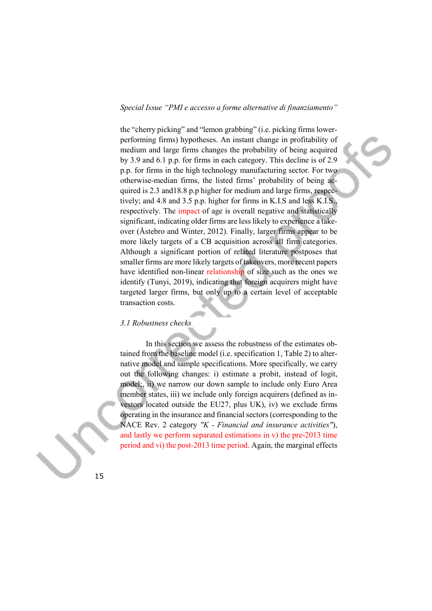the "cherry picking" and "lemon grabbing" (i.e. picking firms lowerperforming firms) hypotheses. An instant change in profitability of medium and large firms changes the probability of being acquired by 3.9 and 6.1 p.p. for firms in each category. This decline is of 2.9 p.p. for firms in the high technology manufacturing sector. For two otherwise-median firms, the listed firms' probability of being acquired is 2.3 and18.8 p.p higher for medium and large firms, respectively; and 4.8 and 3.5 p.p. higher for firms in K.I.S and less K.I.S., respectively. The impact of age is overall negative and statistically significant, indicating older firms are less likely to experience a takeover (Åstebro and Winter, 2012). Finally, larger firms appear to be more likely targets of a CB acquisition across all firm categories. Although a significant portion of related literature postposes that smaller firms are more likely targets of takeovers, more recent papers have identified non-linear relationship of size such as the ones we identify (Tunyi, 2019), indicating that foreign acquirers might have targeted larger firms, but only up to a certain level of acceptable transaction costs.

# *3.1 Robustness checks*

In this section we assess the robustness of the estimates obtained from the baseline model (i.e. specification 1, Table 2) to alternative model and sample specifications. More specifically, we carry out the following changes: i) estimate a probit, instead of logit, model;, ii) we narrow our down sample to include only Euro Area member states, iii) we include only foreign acquirers (defined as investors located outside the EU27, plus UK), iv) we exclude firms operating in the insurance and financial sectors (corresponding to the NACE Rev. 2 category *"K - Financial and insurance activities"*), and lastly we perform separated estimations in v) the pre-2013 time period and vi) the post-2013 time period. Again, the marginal effects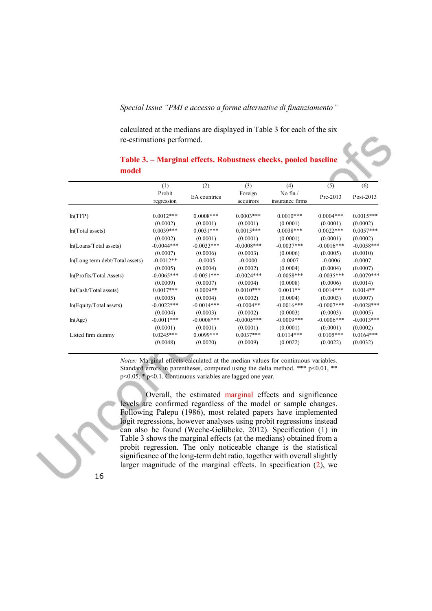calculated at the medians are displayed in Table 3 for each of the six re-estimations performed.

|                                 | (1)                  | (2)           | (3)                  | (4)                         | (5)          | (6)          |
|---------------------------------|----------------------|---------------|----------------------|-----------------------------|--------------|--------------|
|                                 | Probit<br>regression | EA countries  | Foreign<br>acquirors | No fin./<br>insurance firms | Pre-2013     | Post-2013    |
|                                 |                      |               |                      |                             |              |              |
| ln(TFP)                         | $0.0012***$          | $0.0008***$   | $0.0003***$          | $0.0010***$                 | $0.0004***$  | $0.0015***$  |
|                                 | (0.0002)             | (0.0001)      | (0.0001)             | (0.0001)                    | (0.0001)     | (0.0002)     |
| ln(Total assets)                | $0.0039***$          | $0.0031***$   | $0.0015***$          | $0.0038***$                 | $0.0022***$  | $0.0057***$  |
|                                 | (0.0002)             | (0.0001)      | (0.0001)             | (0.0001)                    | (0.0001)     | (0.0002)     |
| ln(Loans/Total assets)          | $-0.0044***$         | $-0.0033***$  | $-0.0008$ ***        | $-0.0037***$                | $-0.0016***$ | $-0.0058***$ |
|                                 | (0.0007)             | (0.0006)      | (0.0003)             | (0.0006)                    | (0.0005)     | (0.0010)     |
| ln(Long term debt/Total assets) | $-0.0012**$          | $-0.0005$     | $-0.0000$            | $-0.0007$                   | $-0.0006$    | $-0.0007$    |
|                                 | (0.0005)             | (0.0004)      | (0.0002)             | (0.0004)                    | (0.0004)     | (0.0007)     |
| ln(Protits/Total Assets)        | $-0.0065***$         | $-0.0051***$  | $-0.0024***$         | $-0.0058***$                | $-0.0035***$ | $-0.0079***$ |
|                                 | (0.0009)             | (0.0007)      | (0.0004)             | (0.0008)                    | (0.0006)     | (0.0014)     |
| ln(Cash/Total assets)           | $0.0017***$          | $0.0009**$    | $0.0010***$          | $0.0011**$                  | $0.0014***$  | $0.0014**$   |
|                                 | (0.0005)             | (0.0004)      | (0.0002)             | (0.0004)                    | (0.0003)     | (0.0007)     |
| $ln(Equity/T)$ otal assets)     | $-0.0022***$         | $-0.0014***$  | $-0.0004**$          | $-0.0016***$                | $-0.0007***$ | $-0.0028***$ |
|                                 | (0.0004)             | (0.0003)      | (0.0002)             | (0.0003)                    | (0.0003)     | (0.0005)     |
| ln(Age)                         | $-0.0011***$         | $-0.0008$ *** | $-0.0005***$         | $-0.0009***$                | $-0.0006***$ | $-0.0013***$ |
|                                 | (0.0001)             | (0.0001)      | (0.0001)             | (0.0001)                    | (0.0001)     | (0.0002)     |
| Listed firm dummy               | $0.0245***$          | $0.0099***$   | $0.0037***$          | $0.0114***$                 | $0.0105***$  | $0.0164***$  |
|                                 | (0.0048)             | (0.0020)      | (0.0009)             | (0.0022)                    | (0.0022)     | (0.0032)     |

# **Table 3. – Marginal effects. Robustness checks, pooled baseline model**

*Notes:* Marginal effects calculated at the median values for continuous variables. Standard errors in parentheses, computed using the delta method. \*\*\*  $p<0.01$ , \*\* p<0.05, \* p<0.1. Continuous variables are lagged one year.

Overall, the estimated marginal effects and significance levels are confirmed regardless of the model or sample changes. Following Palepu (1986), most related papers have implemented logit regressions, however analyses using probit regressions instead can also be found (Weche-Gelübcke, 2012). Specification (1) in Table 3 shows the marginal effects (at the medians) obtained from a probit regression. The only noticeable change is the statistical significance of the long-term debt ratio, together with overall slightly larger magnitude of the marginal effects. In specification (2), we

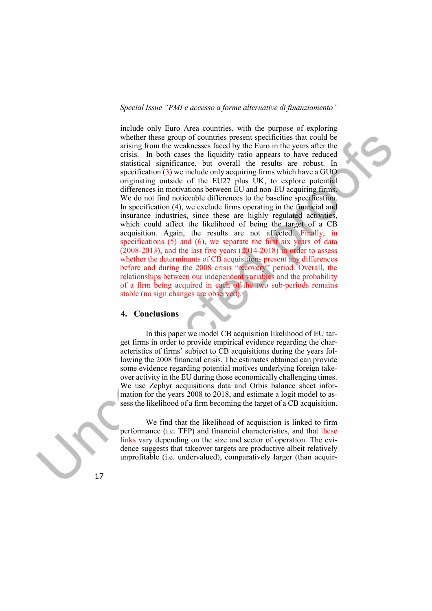include only Euro Area countries, with the purpose of exploring whether these group of countries present specificities that could be arising from the weaknesses faced by the Euro in the years after the crisis. In both cases the liquidity ratio appears to have reduced statistical significance, but overall the results are robust. In specification  $(3)$  we include only acquiring firms which have a GUO originating outside of the EU27 plus UK, to explore potential differences in motivations between EU and non-EU acquiring firms. We do not find noticeable differences to the baseline specification. In specification  $(4)$ , we exclude firms operating in the financial and insurance industries, since these are highly regulated activities, which could affect the likelihood of being the target of a CB acquisition. Again, the results are not affected. Finally, in specifications (5) and (6), we separate the first six years of data (2008-2013), and the last five years (2014-2018) in order to assess whether the determinants of CB acquisitions present any differences before and during the 2008 crisis "recovery" period. Overall, the relationships between our independent variables and the probability of a firm being acquired in each of the two sub-periods remains stable (no sign changes are observed).

# **4. Conclusions**

In this paper we model CB acquisition likelihood of EU target firms in order to provide empirical evidence regarding the characteristics of firms' subject to CB acquisitions during the years following the 2008 financial crisis. The estimates obtained can provide some evidence regarding potential motives underlying foreign takeover activity in the EU during those economically challenging times. We use Zephyr acquisitions data and Orbis balance sheet information for the years 2008 to 2018, and estimate a logit model to assess the likelihood of a firm becoming the target of a CB acquisition.

We find that the likelihood of acquisition is linked to firm performance (i.e. TFP) and financial characteristics, and that these links vary depending on the size and sector of operation. The evidence suggests that takeover targets are productive albeit relatively unprofitable (i.e. undervalued), comparatively larger (than acquir-

17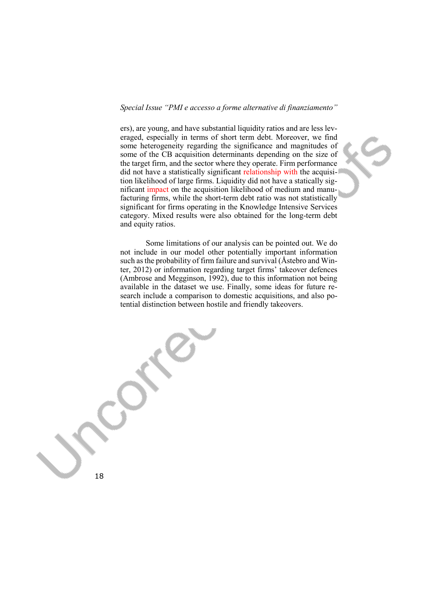ers), are young, and have substantial liquidity ratios and are less leveraged, especially in terms of short term debt. Moreover, we find some heterogeneity regarding the significance and magnitudes of some of the CB acquisition determinants depending on the size of the target firm, and the sector where they operate. Firm performance did not have a statistically significant relationship with the acquisition likelihood of large firms. Liquidity did not have a statically significant impact on the acquisition likelihood of medium and manufacturing firms, while the short-term debt ratio was not statistically significant for firms operating in the Knowledge Intensive Services category. Mixed results were also obtained for the long-term debt and equity ratios.

Some limitations of our analysis can be pointed out. We do not include in our model other potentially important information such as the probability of firm failure and survival (Åstebro and Winter, 2012) or information regarding target firms' takeover defences (Ambrose and Megginson, 1992), due to this information not being available in the dataset we use. Finally, some ideas for future research include a comparison to domestic acquisitions, and also potential distinction between hostile and friendly takeovers.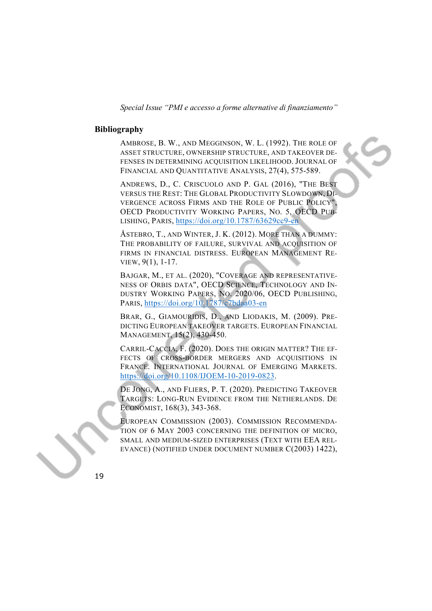#### **Bibliography**

AMBROSE, B. W., AND MEGGINSON, W. L. (1992). THE ROLE OF ASSET STRUCTURE, OWNERSHIP STRUCTURE, AND TAKEOVER DE-FENSES IN DETERMINING ACQUISITION LIKELIHOOD. JOURNAL OF FINANCIAL AND QUANTITATIVE ANALYSIS, 27(4), 575-589.

ANDREWS, D., C. CRISCUOLO AND P. GAL (2016), "THE BEST VERSUS THE REST: THE GLOBAL PRODUCTIVITY SLOWDOWN, DI-VERGENCE ACROSS FIRMS AND THE ROLE OF PUBLIC POLICY", OECD PRODUCTIVITY WORKING PAPERS, NO. 5, OECD PUB-LISHING, PARIS, <https://doi.org/10.1787/63629cc9-en>

ÅSTEBRO, T., AND WINTER, J. K. (2012). MORE THAN A DUMMY: THE PROBABILITY OF FAILURE, SURVIVAL AND ACOUISITION OF FIRMS IN FINANCIAL DISTRESS. EUROPEAN MANAGEMENT RE-VIEW, 9(1), 1-17.

BAJGAR, M., ET AL. (2020), "COVERAGE AND REPRESENTATIVE-NESS OF ORBIS DATA", OECD SCIENCE, TECHNOLOGY AND IN-DUSTRY WORKING PAPERS, NO. 2020/06, OECD PUBLISHING, PARIS, <https://doi.org/10.1787/c7bdaa03-en>

BRAR, G., GIAMOURIDIS, D., AND LIODAKIS, M. (2009). PRE-DICTING EUROPEAN TAKEOVER TARGETS. EUROPEAN FINANCIAL MANAGEMENT, 15(2), 430-450.

CARRIL-CACCIA, F. (2020). DOES THE ORIGIN MATTER? THE EF-FECTS OF CROSS-BORDER MERGERS AND ACQUISITIONS IN FRANCE. INTERNATIONAL JOURNAL OF EMERGING MARKETS. [https://doi.org/10.1108/IJOEM-10-2019-0823.](https://doi.org/10.1108/IJOEM-10-2019-0823)

DE JONG, A., AND FLIERS, P. T. (2020). PREDICTING TAKEOVER TARGETS: LONG-RUN EVIDENCE FROM THE NETHERLANDS. DE ECONOMIST, 168(3), 343-368.

EUROPEAN COMMISSION (2003). COMMISSION RECOMMENDA-TION OF 6 MAY 2003 CONCERNING THE DEFINITION OF MICRO, SMALL AND MEDIUM-SIZED ENTERPRISES (TEXT WITH EEA REL-EVANCE) (NOTIFIED UNDER DOCUMENT NUMBER C(2003) 1422),

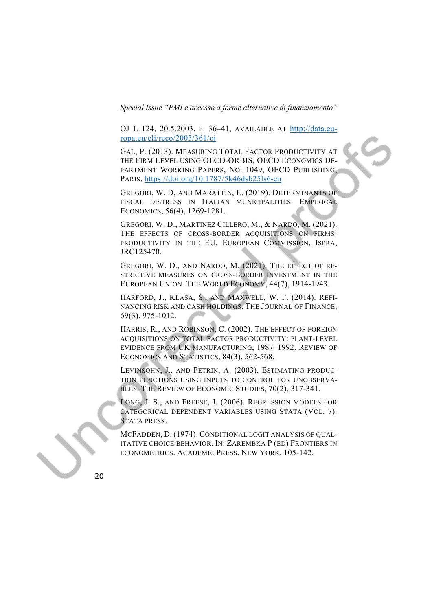OJ L 124, 20.5.2003, P. 36–41, AVAILABLE AT [http://data.eu](http://data.europa.eu/eli/reco/2003/361/oj)[ropa.eu/eli/reco/2003/361/oj](http://data.europa.eu/eli/reco/2003/361/oj)

GAL, P. (2013). MEASURING TOTAL FACTOR PRODUCTIVITY AT THE FIRM LEVEL USING OECD-ORBIS, OECD ECONOMICS DE-PARTMENT WORKING PAPERS, NO. 1049, OECD PUBLISHING, PARIS, <https://doi.org/10.1787/5k46dsb25ls6-en>

GREGORI, W. D, AND MARATTIN, L. (2019). DETERMINANTS OF FISCAL DISTRESS IN ITALIAN MUNICIPALITIES. EMPIRICAL ECONOMICS, 56(4), 1269-1281.

GREGORI, W. D., MARTINEZ CILLERO, M., & NARDO, M. (2021). THE EFFECTS OF CROSS-BORDER ACQUISITIONS ON FIRMS' PRODUCTIVITY IN THE EU, EUROPEAN COMMISSION, ISPRA, JRC125470.

GREGORI, W. D., AND NARDO, M. (2021). THE EFFECT OF RE-STRICTIVE MEASURES ON CROSS‐BORDER INVESTMENT IN THE EUROPEAN UNION. THE WORLD ECONOMY, 44(7), 1914-1943.

HARFORD, J., KLASA, S., AND MAXWELL, W. F. (2014). REFI-NANCING RISK AND CASH HOLDINGS. THE JOURNAL OF FINANCE, 69(3), 975-1012.

HARRIS, R., AND ROBINSON, C. (2002). THE EFFECT OF FOREIGN ACQUISITIONS ON TOTAL FACTOR PRODUCTIVITY: PLANT-LEVEL EVIDENCE FROM UK MANUFACTURING, 1987–1992. REVIEW OF ECONOMICS AND STATISTICS, 84(3), 562-568.

LEVINSOHN, J., AND PETRIN, A. (2003). ESTIMATING PRODUC-TION FUNCTIONS USING INPUTS TO CONTROL FOR UNOBSERVA-BLES. THE REVIEW OF ECONOMIC STUDIES, 70(2), 317-341.

LONG, J. S., AND FREESE, J. (2006). REGRESSION MODELS FOR CATEGORICAL DEPENDENT VARIABLES USING STATA (VOL. 7). STATA PRESS.

MCFADDEN, D. (1974). CONDITIONAL LOGIT ANALYSIS OF QUAL-ITATIVE CHOICE BEHAVIOR. IN: ZAREMBKA P (ED) FRONTIERS IN ECONOMETRICS. ACADEMIC PRESS, NEW YORK, 105-142.

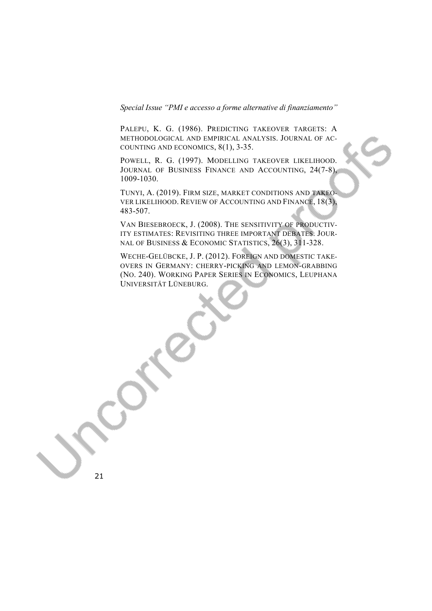PALEPU, K. G. (1986). PREDICTING TAKEOVER TARGETS: A METHODOLOGICAL AND EMPIRICAL ANALYSIS. JOURNAL OF AC-COUNTING AND ECONOMICS, 8(1), 3-35.

POWELL, R. G. (1997). MODELLING TAKEOVER LIKELIHOOD. JOURNAL OF BUSINESS FINANCE AND ACCOUNTING, 24(7-8), 1009-1030.

TUNYI, A. (2019). FIRM SIZE, MARKET CONDITIONS AND TAKEO-VER LIKELIHOOD. REVIEW OF ACCOUNTING AND FINANCE, 18(3), 483-507.

VAN BIESEBROECK, J. (2008). THE SENSITIVITY OF PRODUCTIV-ITY ESTIMATES: REVISITING THREE IMPORTANT DEBATES. JOUR-NAL OF BUSINESS & ECONOMIC STATISTICS, 26(3), 311-328.

WECHE-GELÜBCKE, J. P. (2012). FOREIGN AND DOMESTIC TAKE-OVERS IN GERMANY: CHERRY-PICKING AND LEMON-GRABBING (NO. 240). WORKING PAPER SERIES IN ECONOMICS, LEUPHANA UNIVERSITÄT LÜNEBURG.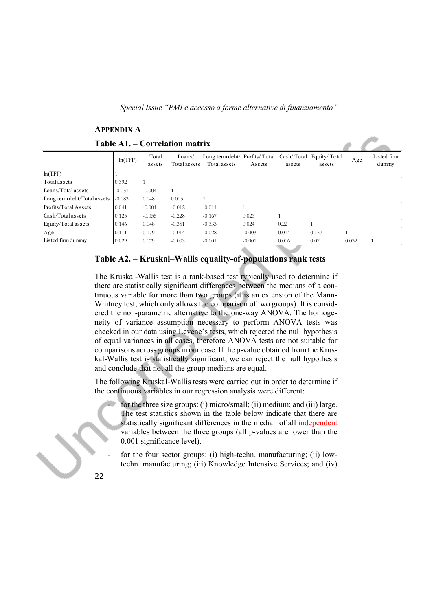|                                | APPENDIA A |                 |                        |                                                                       |          |        |        |       |                      |
|--------------------------------|------------|-----------------|------------------------|-----------------------------------------------------------------------|----------|--------|--------|-------|----------------------|
| Table A1. – Correlation matrix |            |                 |                        |                                                                       |          |        |        |       |                      |
|                                | ln(TFP)    | Total<br>assets | Loans/<br>Total assets | Long term debt/ Profits/Total Cash/Total Equity/Total<br>Total assets | Assets   | assets | assets | Age   | Listed firm<br>dummy |
| ln(TFP)                        |            |                 |                        |                                                                       |          |        |        |       |                      |
| Total assets                   | 0.392      |                 |                        |                                                                       |          |        |        |       |                      |
| Loans/Total assets             | $-0.031$   | $-0.004$        | 1                      |                                                                       |          |        |        |       | $\sim 10^{-1}$       |
| Long term debt/Total assets    | $-0.083$   | 0.048           | 0.005                  |                                                                       |          |        |        |       |                      |
| Profits/Total Assets           | 0.041      | $-0.001$        | $-0.012$               | $-0.011$                                                              |          |        |        |       |                      |
| Cash/Total assets              | 0.125      | $-0.055$        | $-0.228$               | $-0.167$                                                              | 0.023    |        |        |       |                      |
| Equity/Total assets            | 0.146      | 0.048           | $-0.351$               | $-0.333$                                                              | 0.024    | 0.22   |        |       |                      |
| Age                            | 0.111      | 0.179           | $-0.014$               | $-0.028$                                                              | $-0.003$ | 0.014  | 0.157  |       |                      |
| Listed firm dummy              | 0.029      | 0.079           | $-0.003$               | $-0.001$                                                              | $-0.001$ | 0.006  | 0.02   | 0.032 |                      |
|                                |            |                 |                        |                                                                       |          |        |        |       |                      |

# **APPENDIX A**

# **Table A2. – Kruskal–Wallis equality-of-populations rank tests**

The Kruskal-Wallis test is a rank-based test typically used to determine if there are statistically significant differences between the medians of a continuous variable for more than two groups (it is an extension of the Mann-Whitney test, which only allows the comparison of two groups). It is considered the non-parametric alternative to the one-way ANOVA. The homogeneity of variance assumption necessary to perform ANOVA tests was checked in our data using Levene's tests, which rejected the null hypothesis of equal variances in all cases, therefore ANOVA tests are not suitable for comparisons across groups in our case. If the p-value obtained from the Kruskal-Wallis test is statistically significant, we can reject the null hypothesis and conclude that not all the group medians are equal.

The following Kruskal-Wallis tests were carried out in order to determine if the continuous variables in our regression analysis were different:

for the three size groups: (i) micro/small; (ii) medium; and (iii) large. The test statistics shown in the table below indicate that there are statistically significant differences in the median of all independent variables between the three groups (all p-values are lower than the 0.001 significance level).

- for the four sector groups: (i) high-techn. manufacturing; (ii) lowtechn. manufacturing; (iii) Knowledge Intensive Services; and (iv)
- 22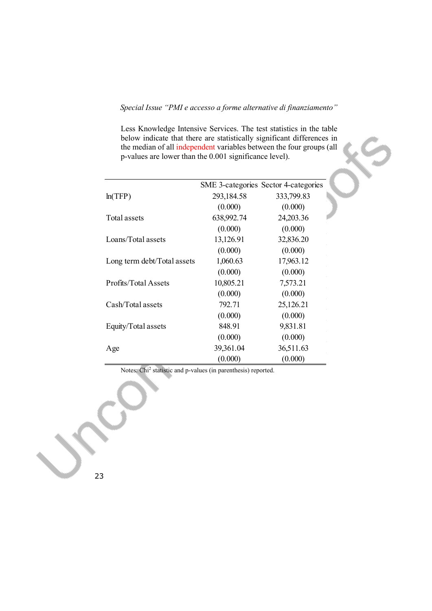Less Knowledge Intensive Services. The test statistics in the table below indicate that there are statistically significant differences in the median of all independent variables between the four groups (all p-values are lower than the 0.001 significance level).

|                             |            | SME 3-categories Sector 4-categories |
|-----------------------------|------------|--------------------------------------|
| ln(TFP)                     | 293,184.58 | 333,799.83                           |
|                             | (0.000)    | (0.000)                              |
| Total assets                | 638,992.74 | 24,203.36                            |
|                             | (0.000)    | (0.000)                              |
| Loans/Total assets          | 13,126.91  | 32,836.20                            |
|                             | (0.000)    | (0.000)                              |
| Long term debt/Total assets | 1,060.63   | 17,963.12                            |
|                             | (0.000)    | (0.000)                              |
| Profits/Total Assets        | 10,805.21  | 7,573.21                             |
|                             | (0.000)    | (0.000)                              |
| Cash/Total assets           | 792.71     | 25,126.21                            |
|                             | (0.000)    | (0.000)                              |
| Equity/Total assets         | 848.91     | 9,831.81                             |
|                             | (0.000)    | (0.000)                              |
| Age                         | 39,361.04  | 36,511.63                            |
|                             | (0.000)    | (0.000)                              |

Notes: Chi2 statistic and p-values (in parenthesis) reported.